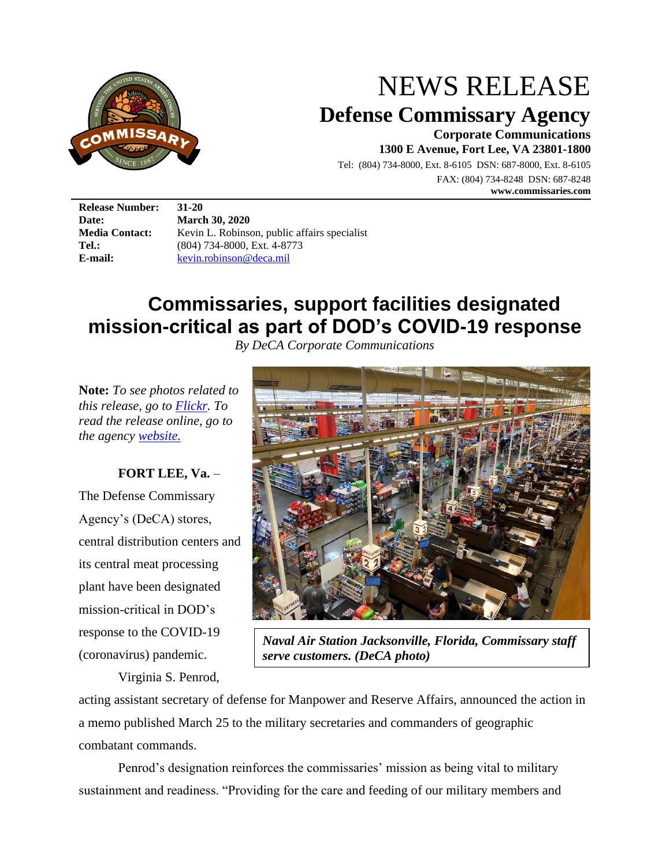

# NEWS RELEASE **Defense Commissary Agency**

**Corporate Communications 1300 E Avenue, Fort Lee, VA 23801-1800**

Tel: (804) 734-8000, Ext. 8-6105 DSN: 687-8000, Ext. 8-6105 FAX: (804) 734-8248 DSN: 687-8248 **www.commissaries.com**

**Release Number: 31-20** 

**Date: March 30, 2020** Media Contact: Kevin L. Robinson, public affairs specialist Tel.: (804) 734-8000, Ext. 4-8773 **E-mail:** [kevin.robinson@deca.mil](mailto:kevin.robinson@deca.mil)

# **Commissaries, support facilities designated mission-critical as part of DOD's COVID-19 response**

*By DeCA Corporate Communications*

**Note:** *To see photos related to this release, go to [Flickr.](https://www.flickr.com/photos/commissary/albums/72157713688125483) To read the release online, go to the agency [website.](https://commissaries.com/our-agency/newsroom/news-releases/commissaries-support-facilities-designated-mission-critical-part)*

## **FORT LEE, Va.** –

The Defense Commissary Agency's (DeCA) stores, central distribution centers and its central meat processing plant have been designated mission-critical in DOD's response to the COVID-19 (coronavirus) pandemic.

Virginia S. Penrod,



*Naval Air Station Jacksonville, Florida, Commissary staff serve customers. (DeCA photo)*

acting assistant secretary of defense for Manpower and Reserve Affairs, announced the action in a memo published March 25 to the military secretaries and commanders of geographic combatant commands.

Penrod's designation reinforces the commissaries' mission as being vital to military sustainment and readiness. "Providing for the care and feeding of our military members and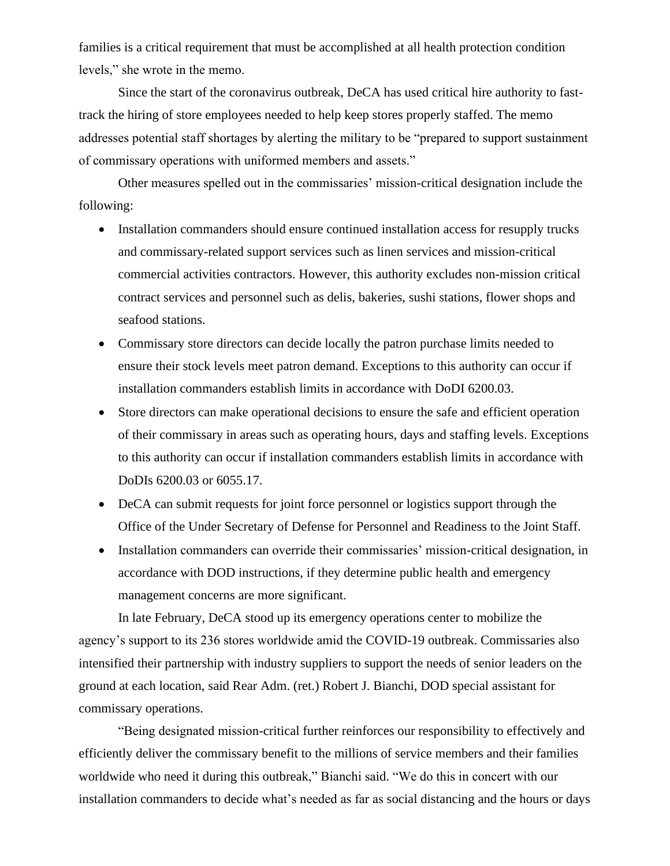families is a critical requirement that must be accomplished at all health protection condition levels," she wrote in the memo.

Since the start of the coronavirus outbreak, DeCA has used critical hire authority to fasttrack the hiring of store employees needed to help keep stores properly staffed. The memo addresses potential staff shortages by alerting the military to be "prepared to support sustainment of commissary operations with uniformed members and assets."

Other measures spelled out in the commissaries' mission-critical designation include the following:

- Installation commanders should ensure continued installation access for resupply trucks and commissary-related support services such as linen services and mission-critical commercial activities contractors. However, this authority excludes non-mission critical contract services and personnel such as delis, bakeries, sushi stations, flower shops and seafood stations.
- Commissary store directors can decide locally the patron purchase limits needed to ensure their stock levels meet patron demand. Exceptions to this authority can occur if installation commanders establish limits in accordance with DoDI 6200.03.
- Store directors can make operational decisions to ensure the safe and efficient operation of their commissary in areas such as operating hours, days and staffing levels. Exceptions to this authority can occur if installation commanders establish limits in accordance with DoDIs 6200.03 or 6055.17.
- DeCA can submit requests for joint force personnel or logistics support through the Office of the Under Secretary of Defense for Personnel and Readiness to the Joint Staff.
- Installation commanders can override their commissaries' mission-critical designation, in accordance with DOD instructions, if they determine public health and emergency management concerns are more significant.

In late February, DeCA stood up its emergency operations center to mobilize the agency's support to its 236 stores worldwide amid the COVID-19 outbreak. Commissaries also intensified their partnership with industry suppliers to support the needs of senior leaders on the ground at each location, said Rear Adm. (ret.) Robert J. Bianchi, DOD special assistant for commissary operations.

"Being designated mission-critical further reinforces our responsibility to effectively and efficiently deliver the commissary benefit to the millions of service members and their families worldwide who need it during this outbreak," Bianchi said. "We do this in concert with our installation commanders to decide what's needed as far as social distancing and the hours or days